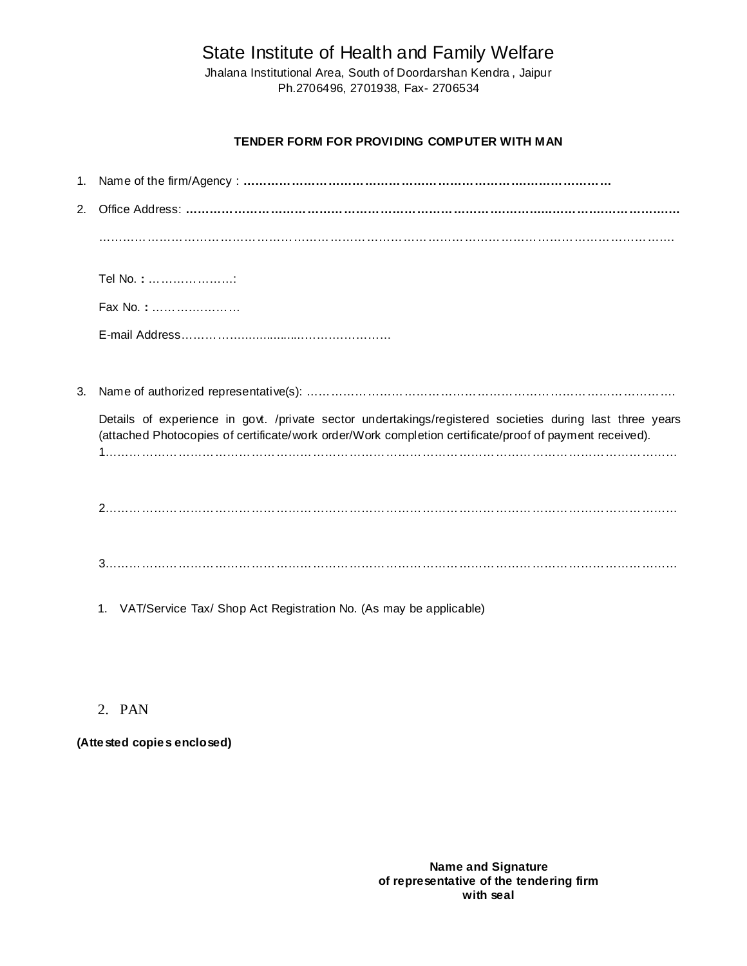State Institute of Health and Family Welfare

Jhalana Institutional Area, South of Doordarshan Kendra , Jaipur Ph.2706496, 2701938, Fax- 2706534

## **TENDER FORM FOR PROVIDING COMPUTER WITH MAN**

| $2^{2}$                                                                                                                                                                                                             |                                                                         |  |
|---------------------------------------------------------------------------------------------------------------------------------------------------------------------------------------------------------------------|-------------------------------------------------------------------------|--|
|                                                                                                                                                                                                                     |                                                                         |  |
|                                                                                                                                                                                                                     | Tel No.: :                                                              |  |
|                                                                                                                                                                                                                     | Fax No.:                                                                |  |
|                                                                                                                                                                                                                     |                                                                         |  |
|                                                                                                                                                                                                                     |                                                                         |  |
| 3.                                                                                                                                                                                                                  |                                                                         |  |
| Details of experience in govt. /private sector undertakings/registered societies during last three years<br>(attached Photocopies of certificate/work order/Work completion certificate/proof of payment received). |                                                                         |  |
|                                                                                                                                                                                                                     |                                                                         |  |
|                                                                                                                                                                                                                     |                                                                         |  |
|                                                                                                                                                                                                                     | VAT/Service Tax/ Shop Act Registration No. (As may be applicable)<br>1. |  |

# 2. PAN

**(Attested copies enclosed)**

**Name and Signature of representative of the tendering firm with seal**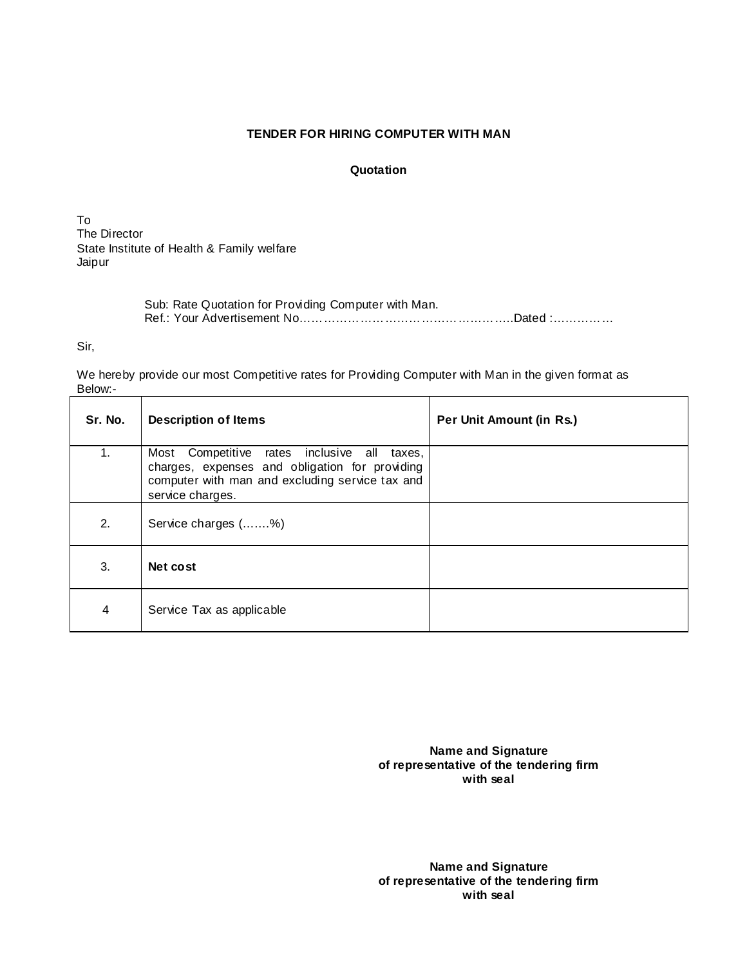### **TENDER FOR HIRING COMPUTER WITH MAN**

#### **Quotation**

To The Director State Institute of Health & Family welfare Jaipur

> Sub: Rate Quotation for Providing Computer with Man. Ref.: Your Advertisement No……………………………………………..Dated :……………

Sir,

We hereby provide our most Competitive rates for Providing Computer with Man in the given format as Below:-

| Sr. No. | <b>Description of Items</b>                                                                                                                                                   | Per Unit Amount (in Rs.) |
|---------|-------------------------------------------------------------------------------------------------------------------------------------------------------------------------------|--------------------------|
| 1.      | Competitive rates inclusive<br>Most<br>all<br>taxes,<br>charges, expenses and obligation for providing<br>computer with man and excluding service tax and<br>service charges. |                          |
| 2.      | Service charges (%)                                                                                                                                                           |                          |
| 3.      | Net cost                                                                                                                                                                      |                          |
| 4       | Service Tax as applicable                                                                                                                                                     |                          |

**Name and Signature of representative of the tendering firm with seal**

**Name and Signature of representative of the tendering firm with seal**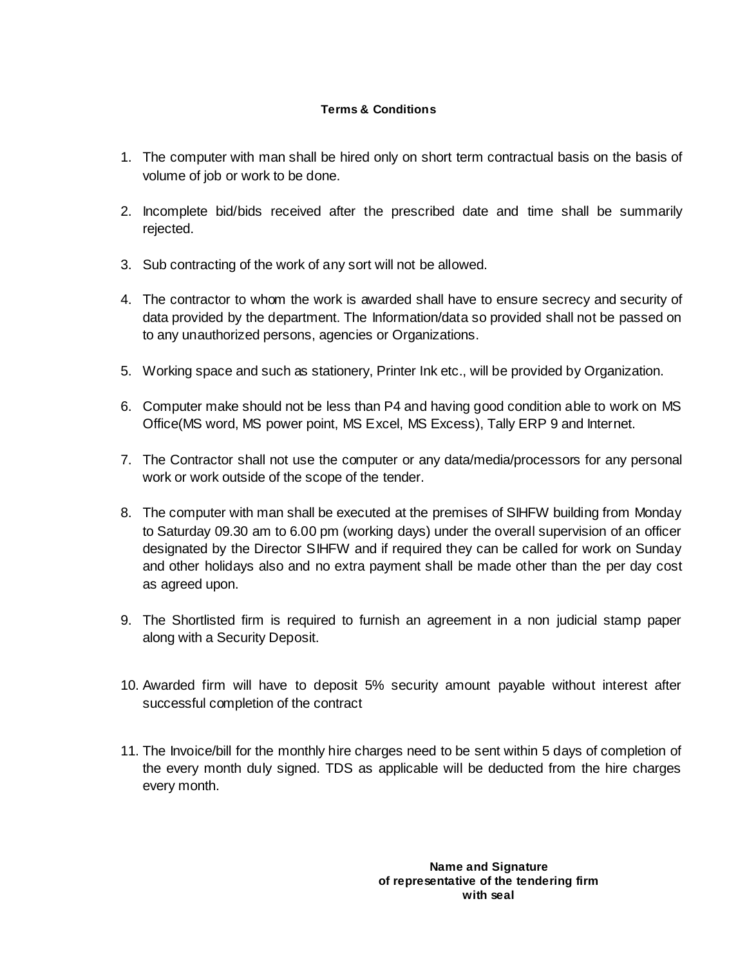## **Terms & Conditions**

- 1. The computer with man shall be hired only on short term contractual basis on the basis of volume of job or work to be done.
- 2. Incomplete bid/bids received after the prescribed date and time shall be summarily rejected.
- 3. Sub contracting of the work of any sort will not be allowed.
- 4. The contractor to whom the work is awarded shall have to ensure secrecy and security of data provided by the department. The Information/data so provided shall not be passed on to any unauthorized persons, agencies or Organizations.
- 5. Working space and such as stationery, Printer Ink etc., will be provided by Organization.
- 6. Computer make should not be less than P4 and having good condition able to work on MS Office(MS word, MS power point, MS Excel, MS Excess), Tally ERP 9 and Internet.
- 7. The Contractor shall not use the computer or any data/media/processors for any personal work or work outside of the scope of the tender.
- 8. The computer with man shall be executed at the premises of SIHFW building from Monday to Saturday 09.30 am to 6.00 pm (working days) under the overall supervision of an officer designated by the Director SIHFW and if required they can be called for work on Sunday and other holidays also and no extra payment shall be made other than the per day cost as agreed upon.
- 9. The Shortlisted firm is required to furnish an agreement in a non judicial stamp paper along with a Security Deposit.
- 10. Awarded firm will have to deposit 5% security amount payable without interest after successful completion of the contract
- 11. The Invoice/bill for the monthly hire charges need to be sent within 5 days of completion of the every month duly signed. TDS as applicable will be deducted from the hire charges every month.

**Name and Signature of representative of the tendering firm with seal**